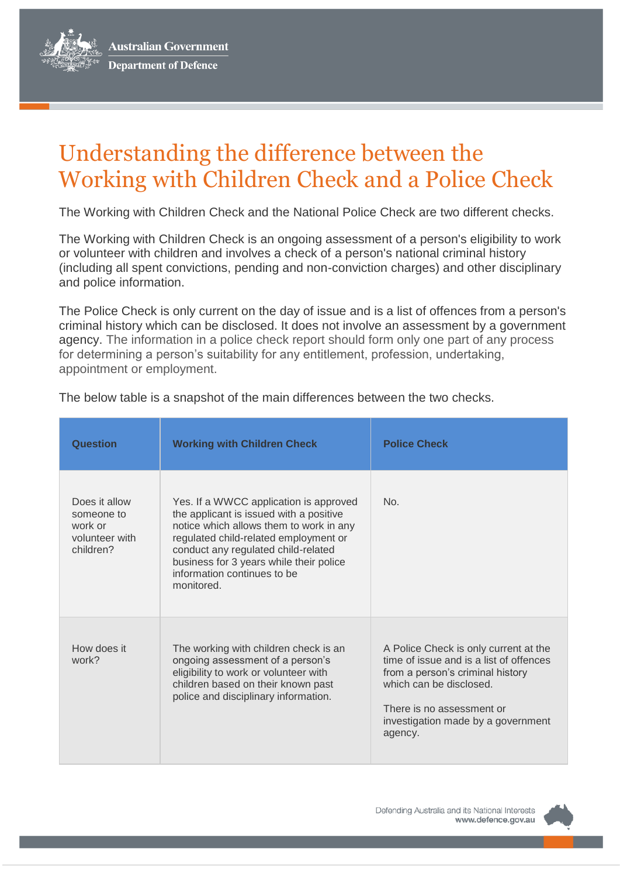**Australian Government Department of Defence** 

## Understanding the difference between the Working with Children Check and a Police Check

The Working with Children Check and the National Police Check are two different checks.

The Working with Children Check is an ongoing assessment of a person's eligibility to work or volunteer with children and involves a check of a person's national criminal history (including all spent convictions, pending and non-conviction charges) and other disciplinary and police information.

The Police Check is only current on the day of issue and is a list of offences from a person's criminal history which can be disclosed. It does not involve an assessment by a government agency. The information in a police check report should form only one part of any process for determining a person's suitability for any entitlement, profession, undertaking, appointment or employment.

| <b>Question</b>                                                       | <b>Working with Children Check</b>                                                                                                                                                                                                                                                                   | <b>Police Check</b>                                                                                                                                                                                                           |
|-----------------------------------------------------------------------|------------------------------------------------------------------------------------------------------------------------------------------------------------------------------------------------------------------------------------------------------------------------------------------------------|-------------------------------------------------------------------------------------------------------------------------------------------------------------------------------------------------------------------------------|
| Does it allow<br>someone to<br>work or<br>volunteer with<br>children? | Yes. If a WWCC application is approved<br>the applicant is issued with a positive<br>notice which allows them to work in any<br>regulated child-related employment or<br>conduct any regulated child-related<br>business for 3 years while their police<br>information continues to be<br>monitored. | No.                                                                                                                                                                                                                           |
| How does it<br>work?                                                  | The working with children check is an<br>ongoing assessment of a person's<br>eligibility to work or volunteer with<br>children based on their known past<br>police and disciplinary information.                                                                                                     | A Police Check is only current at the<br>time of issue and is a list of offences<br>from a person's criminal history<br>which can be disclosed.<br>There is no assessment or<br>investigation made by a government<br>agency. |

The below table is a snapshot of the main differences between the two checks.

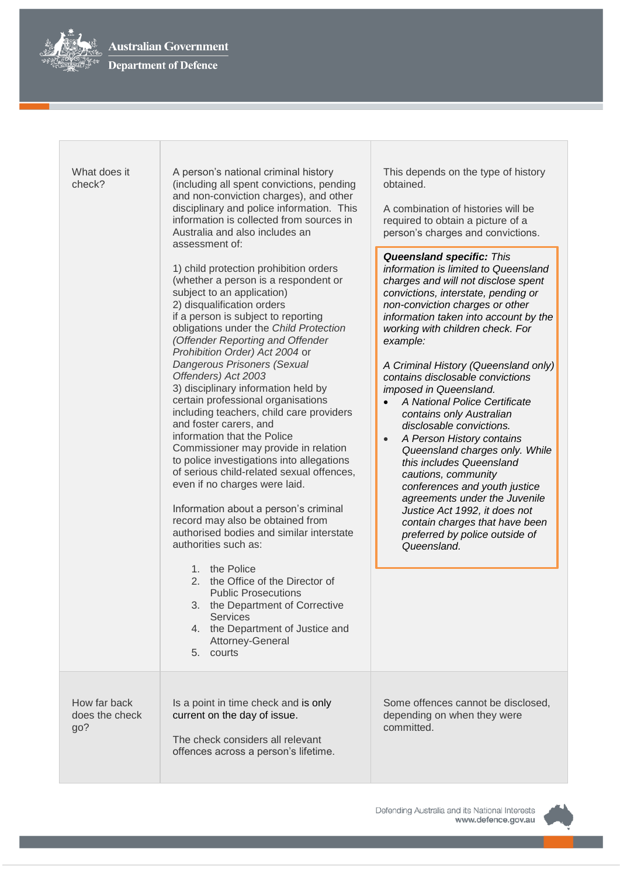

| What does it<br>check?                | A person's national criminal history<br>(including all spent convictions, pending<br>and non-conviction charges), and other<br>disciplinary and police information. This<br>information is collected from sources in<br>Australia and also includes an<br>assessment of:<br>1) child protection prohibition orders<br>(whether a person is a respondent or<br>subject to an application)<br>2) disqualification orders<br>if a person is subject to reporting<br>obligations under the Child Protection<br>(Offender Reporting and Offender<br>Prohibition Order) Act 2004 or<br>Dangerous Prisoners (Sexual<br>Offenders) Act 2003<br>3) disciplinary information held by<br>certain professional organisations<br>including teachers, child care providers<br>and foster carers, and<br>information that the Police<br>Commissioner may provide in relation<br>to police investigations into allegations<br>of serious child-related sexual offences,<br>even if no charges were laid.<br>Information about a person's criminal<br>record may also be obtained from<br>authorised bodies and similar interstate<br>authorities such as:<br>$1_{-}$<br>the Police<br>2. the Office of the Director of<br><b>Public Prosecutions</b><br>3.<br>the Department of Corrective<br><b>Services</b><br>4. the Department of Justice and<br>Attorney-General<br>5. courts | This depends on the type of history<br>obtained.<br>A combination of histories will be<br>required to obtain a picture of a<br>person's charges and convictions.<br><b>Queensland specific: This</b><br>information is limited to Queensland<br>charges and will not disclose spent<br>convictions, interstate, pending or<br>non-conviction charges or other<br>information taken into account by the<br>working with children check. For<br>example:<br>A Criminal History (Queensland only)<br>contains disclosable convictions<br>imposed in Queensland.<br>A National Police Certificate<br>contains only Australian<br>disclosable convictions.<br>A Person History contains<br>$\bullet$<br>Queensland charges only. While<br>this includes Queensland<br>cautions, community<br>conferences and youth justice<br>agreements under the Juvenile<br>Justice Act 1992, it does not<br>contain charges that have been<br>preferred by police outside of<br>Queensland. |
|---------------------------------------|--------------------------------------------------------------------------------------------------------------------------------------------------------------------------------------------------------------------------------------------------------------------------------------------------------------------------------------------------------------------------------------------------------------------------------------------------------------------------------------------------------------------------------------------------------------------------------------------------------------------------------------------------------------------------------------------------------------------------------------------------------------------------------------------------------------------------------------------------------------------------------------------------------------------------------------------------------------------------------------------------------------------------------------------------------------------------------------------------------------------------------------------------------------------------------------------------------------------------------------------------------------------------------------------------------------------------------------------------------------------|----------------------------------------------------------------------------------------------------------------------------------------------------------------------------------------------------------------------------------------------------------------------------------------------------------------------------------------------------------------------------------------------------------------------------------------------------------------------------------------------------------------------------------------------------------------------------------------------------------------------------------------------------------------------------------------------------------------------------------------------------------------------------------------------------------------------------------------------------------------------------------------------------------------------------------------------------------------------------|
| How far back<br>does the check<br>go? | Is a point in time check and is only<br>current on the day of issue.<br>The check considers all relevant<br>offences across a person's lifetime.                                                                                                                                                                                                                                                                                                                                                                                                                                                                                                                                                                                                                                                                                                                                                                                                                                                                                                                                                                                                                                                                                                                                                                                                                   | Some offences cannot be disclosed,<br>depending on when they were<br>committed.                                                                                                                                                                                                                                                                                                                                                                                                                                                                                                                                                                                                                                                                                                                                                                                                                                                                                            |

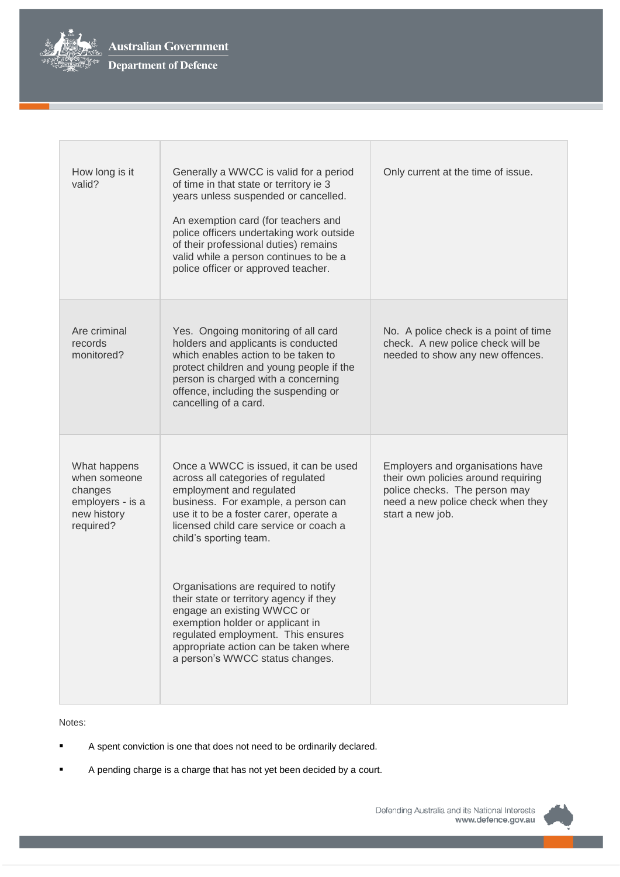

| How long is it<br>valid?                                                                | Generally a WWCC is valid for a period<br>of time in that state or territory ie 3<br>years unless suspended or cancelled.<br>An exemption card (for teachers and<br>police officers undertaking work outside<br>of their professional duties) remains<br>valid while a person continues to be a<br>police officer or approved teacher.                                                                                                                                                                                              | Only current at the time of issue.                                                                                                                                |
|-----------------------------------------------------------------------------------------|-------------------------------------------------------------------------------------------------------------------------------------------------------------------------------------------------------------------------------------------------------------------------------------------------------------------------------------------------------------------------------------------------------------------------------------------------------------------------------------------------------------------------------------|-------------------------------------------------------------------------------------------------------------------------------------------------------------------|
| Are criminal<br>records<br>monitored?                                                   | Yes. Ongoing monitoring of all card<br>holders and applicants is conducted<br>which enables action to be taken to<br>protect children and young people if the<br>person is charged with a concerning<br>offence, including the suspending or<br>cancelling of a card.                                                                                                                                                                                                                                                               | No. A police check is a point of time<br>check. A new police check will be<br>needed to show any new offences.                                                    |
| What happens<br>when someone<br>changes<br>employers - is a<br>new history<br>required? | Once a WWCC is issued, it can be used<br>across all categories of regulated<br>employment and regulated<br>business. For example, a person can<br>use it to be a foster carer, operate a<br>licensed child care service or coach a<br>child's sporting team.<br>Organisations are required to notify<br>their state or territory agency if they<br>engage an existing WWCC or<br>exemption holder or applicant in<br>regulated employment. This ensures<br>appropriate action can be taken where<br>a person's WWCC status changes. | Employers and organisations have<br>their own policies around requiring<br>police checks. The person may<br>need a new police check when they<br>start a new job. |

Notes:

- A spent conviction is one that does not need to be ordinarily declared.
- A pending charge is a charge that has not yet been decided by a court.

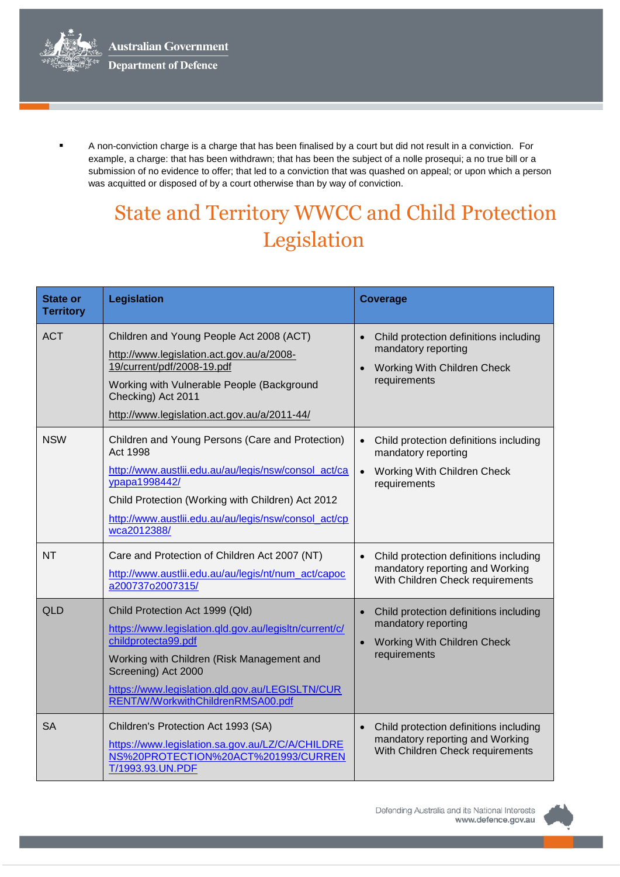

 A non-conviction charge is a charge that has been finalised by a court but did not result in a conviction. For example, a charge: that has been withdrawn; that has been the subject of a nolle prosequi; a no true bill or a submission of no evidence to offer; that led to a conviction that was quashed on appeal; or upon which a person was acquitted or disposed of by a court otherwise than by way of conviction.

## State and Territory WWCC and Child Protection Legislation

| <b>State or</b><br><b>Territory</b> | Legislation                                                                                                                                                                                                                                                                   | <b>Coverage</b>                                                                                                                               |
|-------------------------------------|-------------------------------------------------------------------------------------------------------------------------------------------------------------------------------------------------------------------------------------------------------------------------------|-----------------------------------------------------------------------------------------------------------------------------------------------|
| <b>ACT</b>                          | Children and Young People Act 2008 (ACT)<br>http://www.legislation.act.gov.au/a/2008-<br>19/current/pdf/2008-19.pdf<br>Working with Vulnerable People (Background<br>Checking) Act 2011<br>http://www.legislation.act.gov.au/a/2011-44/                                       | Child protection definitions including<br>$\bullet$<br>mandatory reporting<br><b>Working With Children Check</b><br>$\bullet$<br>requirements |
| <b>NSW</b>                          | Children and Young Persons (Care and Protection)<br><b>Act 1998</b><br>http://www.austlii.edu.au/au/legis/nsw/consol_act/ca<br>ypapa1998442/<br>Child Protection (Working with Children) Act 2012<br>http://www.austlii.edu.au/au/legis/nsw/consol_act/cp<br>wca2012388/      | Child protection definitions including<br>mandatory reporting<br>Working With Children Check<br>$\bullet$<br>requirements                     |
| <b>NT</b>                           | Care and Protection of Children Act 2007 (NT)<br>http://www.austlii.edu.au/au/legis/nt/num_act/capoc<br>a200737o2007315/                                                                                                                                                      | Child protection definitions including<br>mandatory reporting and Working<br>With Children Check requirements                                 |
| QLD                                 | Child Protection Act 1999 (Qld)<br>https://www.legislation.qld.gov.au/legisltn/current/c/<br>childprotecta99.pdf<br>Working with Children (Risk Management and<br>Screening) Act 2000<br>https://www.legislation.qld.gov.au/LEGISLTN/CUR<br>RENT/W/WorkwithChildrenRMSA00.pdf | Child protection definitions including<br>$\bullet$<br>mandatory reporting<br><b>Working With Children Check</b><br>$\bullet$<br>requirements |
| <b>SA</b>                           | Children's Protection Act 1993 (SA)<br>https://www.legislation.sa.gov.au/LZ/C/A/CHILDRE<br>NS%20PROTECTION%20ACT%201993/CURREN<br>T/1993.93.UN.PDF                                                                                                                            | Child protection definitions including<br>mandatory reporting and Working<br>With Children Check requirements                                 |